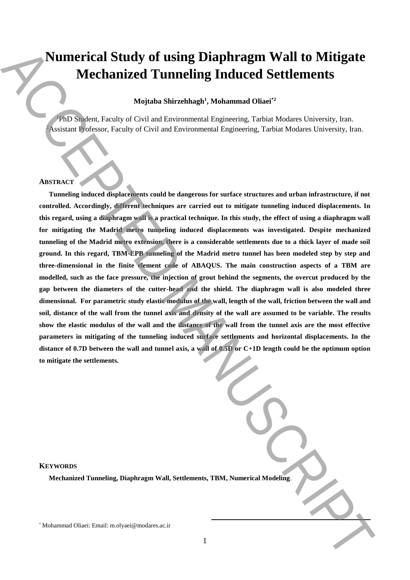# **Numerical Study of using Diaphragm Wall to Mitigate Mechanized Tunneling Induced Settlements**

# **Mojtaba Shirzehhagh<sup>1</sup> , Mohammad Oliaei\*2**

<sup>1</sup>PhD Student, Faculty of Civil and Environmental Engineering, Tarbiat Modares University, Iran. <sup>2</sup>Assistant Professor, Faculty of Civil and Environmental Engineering, Tarbiat Modares University, Iran.

#### **ABSTRACT**

**Tunneling induced displacements could be dangerous for surface structures and urban infrastructure, if not controlled. Accordingly, different techniques are carried out to mitigate tunneling induced displacements. In this regard, using a diaphragm wall is a practical technique. In this study, the effect of using a diaphragm wall for mitigating the Madrid metro tunneling induced displacements was investigated. Despite mechanized tunneling of the Madrid metro extension, there is a considerable settlements due to a thick layer of made soil ground. In this regard, TBM-EPB tunneling of the Madrid metro tunnel has been modeled step by step and three-dimensional in the finite element code of ABAQUS. The main construction aspects of a TBM are modelled, such as the face pressure, the injection of grout behind the segments, the overcut produced by the gap between the diameters of the cutter-head and the shield. The diaphragm wall is also modeled three dimensional. For parametric study elastic modulus of the wall, length of the wall, friction between the wall and soil, distance of the wall from the tunnel axis and density of the wall are assumed to be variable. The results show the elastic modulus of the wall and the distance of the wall from the tunnel axis are the most effective parameters in mitigating of the tunneling induced surface settlements and horizontal displacements. In the distance of 0.7D between the wall and tunnel axis, a wall of 0.5D or C+1D length could be the optimum option to mitigate the settlements. Numerical Study of using Diaphragm Wall to Mitigate Mechanized Tunneling Induced Settlements**<br>
Majoina Signals Signals Signals Coli and Environmental Engineering. Train Moham University International Proposes. The Coli an

**KEYWORDS**

**Mechanized Tunneling, Diaphragm Wall, Settlements, TBM, Numerical Modeling**.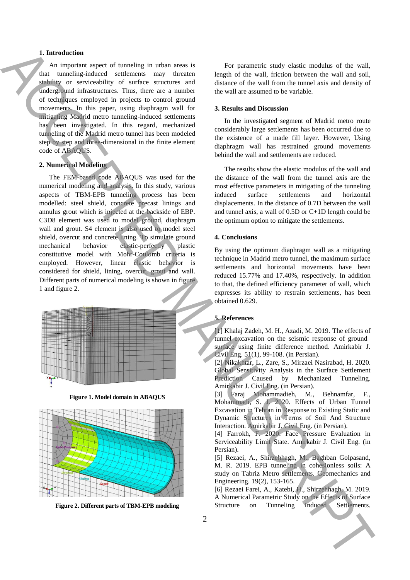### **1. Introduction**

An important aspect of tunneling in urban areas is that tunneling-induced settlements may threaten stability or serviceability of surface structures and underground infrastructures. Thus, there are a number of techniques employed in projects to control ground movements. In this paper, using diaphragm wall for mitigating Madrid metro tunneling-induced settlements has been investigated. In this regard, mechanized tunneling of the Madrid metro tunnel has been modeled step by step and three-dimensional in the finite element code of ABAQUS.

## **2. Numerical Modeling**

The FEM-based code ABAQUS was used for the numerical modeling and analysis. In this study, various aspects of TBM-EPB tunneling process has been modelled: steel shield, concrete precast linings and annulus grout which is injected at the backside of EBP. C3D8 element was used to model ground, diaphragm wall and grout. S4 element is also used to model steel shield, overcut and concrete lining. To simulate ground mechanical behavior elastic-perfectly plastic constitutive model with Mohr-Coulomb criteria is employed. However, linear elastic behavior is considered for shield, lining, overcut, grout and wall. Different parts of numerical modeling is shown in figure 1 and figure 2. **1.** Intermediate angular structure on the control of the structure of the structure of the structure of the structure of the structure of the structure of the structure of the structure of the structure of the structure



**Figure 1. Model domain in ABAQUS**



**Figure 2. Different parts of TBM-EPB modeling**

For parametric study elastic modulus of the wall, length of the wall, friction between the wall and soil, distance of the wall from the tunnel axis and density of the wall are assumed to be variable.

#### **3. Results and Discussion**

In the investigated segment of Madrid metro route considerably large settlements has been occurred due to the existence of a made fill layer. However, Using diaphragm wall has restrained ground movements behind the wall and settlements are reduced.

The results show the elastic modulus of the wall and the distance of the wall from the tunnel axis are the most effective parameters in mitigating of the tunneling induced surface settlements and horizontal displacements. In the distance of 0.7D between the wall and tunnel axis, a wall of 0.5D or C+1D length could be the optimum option to mitigate the settlements.

### **4. Conclusions**

By using the optimum diaphragm wall as a mitigating technique in Madrid metro tunnel, the maximum surface settlements and horizontal movements have been reduced 15.77% and 17.40%, respectively. In addition to that, the defined efficiency parameter of wall, which expresses its ability to restrain settlements, has been obtained 0.629.

#### **5. References**

[1] Khalaj Zadeh, M. H., Azadi, M. 2019. The effects of tunnel excavation on the seismic response of ground surface using finite difference method. Amirkabir J. Civil Eng. 51(1), 99-108. (in Persian).

[2] Nikakhtar, L., Zare, S., Mirzaei Nasirabad, H. 2020. Global Sensitivity Analysis in the Surface Settlement Prediction Caused by Mechanized Tunneling. Amirkabir J. Civil Eng. (in Persian).

[3] Faraj Mohammadieh, M., Behnamfar, F., Mohammadi, S. J. 2020. Effects of Urban Tunnel Excavation in Tehran in Response to Existing Static and Dynamic Structures in Terms of Soil And Structure Interaction. Amirkabir J. Civil Eng. (in Persian).

[4] Farrokh, F. 2020. Face Pressure Evaluation in Serviceability Limit State. Amirkabir J. Civil Eng. (in Persian).

[5] Rezaei, A., Shirzehhagh, M., Baghban Golpasand, M. R. 2019. EPB tunneling in cohesionless soils: A study on Tabriz Metro settlements. Geomechanics and Engineering. 19(2), 153-165.

[6] Rezaei Farei, A., Katebi, H., Shirzehhagh, M. 2019. A Numerical Parametric Study on the Effects of Surface